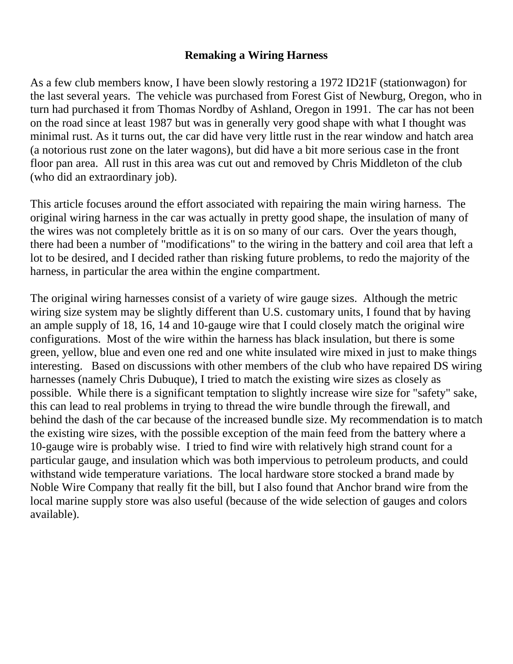## **Remaking a Wiring Harness**

As a few club members know, I have been slowly restoring a 1972 ID21F (stationwagon) for the last several years. The vehicle was purchased from Forest Gist of Newburg, Oregon, who in turn had purchased it from Thomas Nordby of Ashland, Oregon in 1991. The car has not been on the road since at least 1987 but was in generally very good shape with what I thought was minimal rust. As it turns out, the car did have very little rust in the rear window and hatch area (a notorious rust zone on the later wagons), but did have a bit more serious case in the front floor pan area. All rust in this area was cut out and removed by Chris Middleton of the club (who did an extraordinary job).

This article focuses around the effort associated with repairing the main wiring harness. The original wiring harness in the car was actually in pretty good shape, the insulation of many of the wires was not completely brittle as it is on so many of our cars. Over the years though, there had been a number of "modifications" to the wiring in the battery and coil area that left a lot to be desired, and I decided rather than risking future problems, to redo the majority of the harness, in particular the area within the engine compartment.

The original wiring harnesses consist of a variety of wire gauge sizes. Although the metric wiring size system may be slightly different than U.S. customary units, I found that by having an ample supply of 18, 16, 14 and 10-gauge wire that I could closely match the original wire configurations. Most of the wire within the harness has black insulation, but there is some green, yellow, blue and even one red and one white insulated wire mixed in just to make things interesting. Based on discussions with other members of the club who have repaired DS wiring harnesses (namely Chris Dubuque), I tried to match the existing wire sizes as closely as possible. While there is a significant temptation to slightly increase wire size for "safety" sake, this can lead to real problems in trying to thread the wire bundle through the firewall, and behind the dash of the car because of the increased bundle size. My recommendation is to match the existing wire sizes, with the possible exception of the main feed from the battery where a 10-gauge wire is probably wise. I tried to find wire with relatively high strand count for a particular gauge, and insulation which was both impervious to petroleum products, and could withstand wide temperature variations. The local hardware store stocked a brand made by Noble Wire Company that really fit the bill, but I also found that Anchor brand wire from the local marine supply store was also useful (because of the wide selection of gauges and colors available).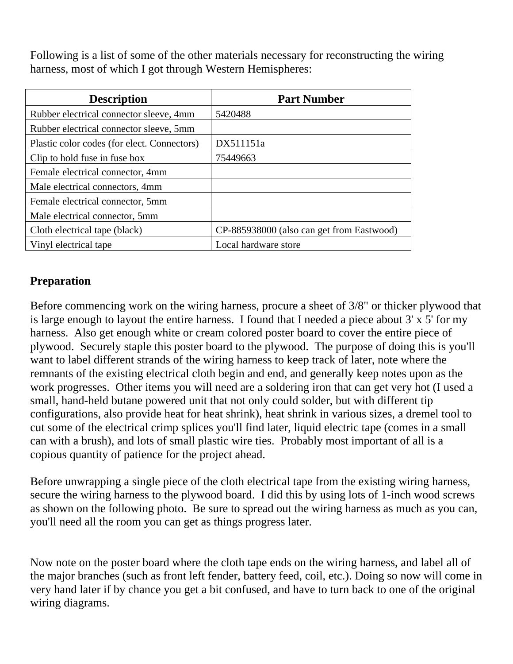Following is a list of some of the other materials necessary for reconstructing the wiring harness, most of which I got through Western Hemispheres:

| <b>Description</b>                          | <b>Part Number</b>                        |
|---------------------------------------------|-------------------------------------------|
| Rubber electrical connector sleeve, 4mm     | 5420488                                   |
| Rubber electrical connector sleeve, 5mm     |                                           |
| Plastic color codes (for elect. Connectors) | DX511151a                                 |
| Clip to hold fuse in fuse box               | 75449663                                  |
| Female electrical connector, 4mm            |                                           |
| Male electrical connectors, 4mm             |                                           |
| Female electrical connector, 5mm            |                                           |
| Male electrical connector, 5mm              |                                           |
| Cloth electrical tape (black)               | CP-885938000 (also can get from Eastwood) |
| Vinyl electrical tape                       | Local hardware store                      |

## **Preparation**

Before commencing work on the wiring harness, procure a sheet of 3/8" or thicker plywood that is large enough to layout the entire harness. I found that I needed a piece about 3' x 5' for my harness. Also get enough white or cream colored poster board to cover the entire piece of plywood. Securely staple this poster board to the plywood. The purpose of doing this is you'll want to label different strands of the wiring harness to keep track of later, note where the remnants of the existing electrical cloth begin and end, and generally keep notes upon as the work progresses. Other items you will need are a soldering iron that can get very hot (I used a small, hand-held butane powered unit that not only could solder, but with different tip configurations, also provide heat for heat shrink), heat shrink in various sizes, a dremel tool to cut some of the electrical crimp splices you'll find later, liquid electric tape (comes in a small can with a brush), and lots of small plastic wire ties. Probably most important of all is a copious quantity of patience for the project ahead.

Before unwrapping a single piece of the cloth electrical tape from the existing wiring harness, secure the wiring harness to the plywood board. I did this by using lots of 1-inch wood screws as shown on the following photo. Be sure to spread out the wiring harness as much as you can, you'll need all the room you can get as things progress later.

Now note on the poster board where the cloth tape ends on the wiring harness, and label all of the major branches (such as front left fender, battery feed, coil, etc.). Doing so now will come in very hand later if by chance you get a bit confused, and have to turn back to one of the original wiring diagrams.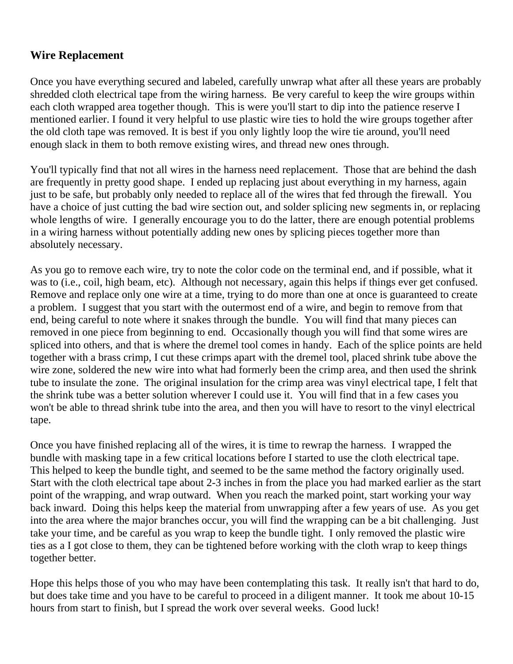## **Wire Replacement**

Once you have everything secured and labeled, carefully unwrap what after all these years are probably shredded cloth electrical tape from the wiring harness. Be very careful to keep the wire groups within each cloth wrapped area together though. This is were you'll start to dip into the patience reserve I mentioned earlier. I found it very helpful to use plastic wire ties to hold the wire groups together after the old cloth tape was removed. It is best if you only lightly loop the wire tie around, you'll need enough slack in them to both remove existing wires, and thread new ones through.

You'll typically find that not all wires in the harness need replacement. Those that are behind the dash are frequently in pretty good shape. I ended up replacing just about everything in my harness, again just to be safe, but probably only needed to replace all of the wires that fed through the firewall. You have a choice of just cutting the bad wire section out, and solder splicing new segments in, or replacing whole lengths of wire. I generally encourage you to do the latter, there are enough potential problems in a wiring harness without potentially adding new ones by splicing pieces together more than absolutely necessary.

As you go to remove each wire, try to note the color code on the terminal end, and if possible, what it was to (i.e., coil, high beam, etc). Although not necessary, again this helps if things ever get confused. Remove and replace only one wire at a time, trying to do more than one at once is guaranteed to create a problem. I suggest that you start with the outermost end of a wire, and begin to remove from that end, being careful to note where it snakes through the bundle. You will find that many pieces can removed in one piece from beginning to end. Occasionally though you will find that some wires are spliced into others, and that is where the dremel tool comes in handy. Each of the splice points are held together with a brass crimp, I cut these crimps apart with the dremel tool, placed shrink tube above the wire zone, soldered the new wire into what had formerly been the crimp area, and then used the shrink tube to insulate the zone. The original insulation for the crimp area was vinyl electrical tape, I felt that the shrink tube was a better solution wherever I could use it. You will find that in a few cases you won't be able to thread shrink tube into the area, and then you will have to resort to the vinyl electrical tape.

Once you have finished replacing all of the wires, it is time to rewrap the harness. I wrapped the bundle with masking tape in a few critical locations before I started to use the cloth electrical tape. This helped to keep the bundle tight, and seemed to be the same method the factory originally used. Start with the cloth electrical tape about 2-3 inches in from the place you had marked earlier as the start point of the wrapping, and wrap outward. When you reach the marked point, start working your way back inward. Doing this helps keep the material from unwrapping after a few years of use. As you get into the area where the major branches occur, you will find the wrapping can be a bit challenging. Just take your time, and be careful as you wrap to keep the bundle tight. I only removed the plastic wire ties as a I got close to them, they can be tightened before working with the cloth wrap to keep things together better.

Hope this helps those of you who may have been contemplating this task. It really isn't that hard to do, but does take time and you have to be careful to proceed in a diligent manner. It took me about 10-15 hours from start to finish, but I spread the work over several weeks. Good luck!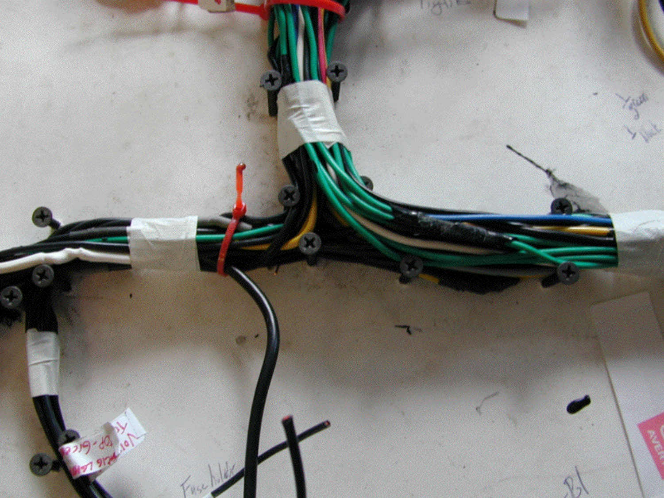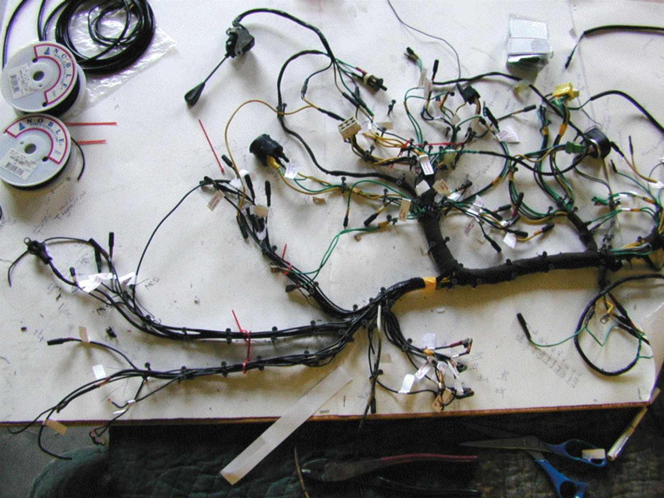